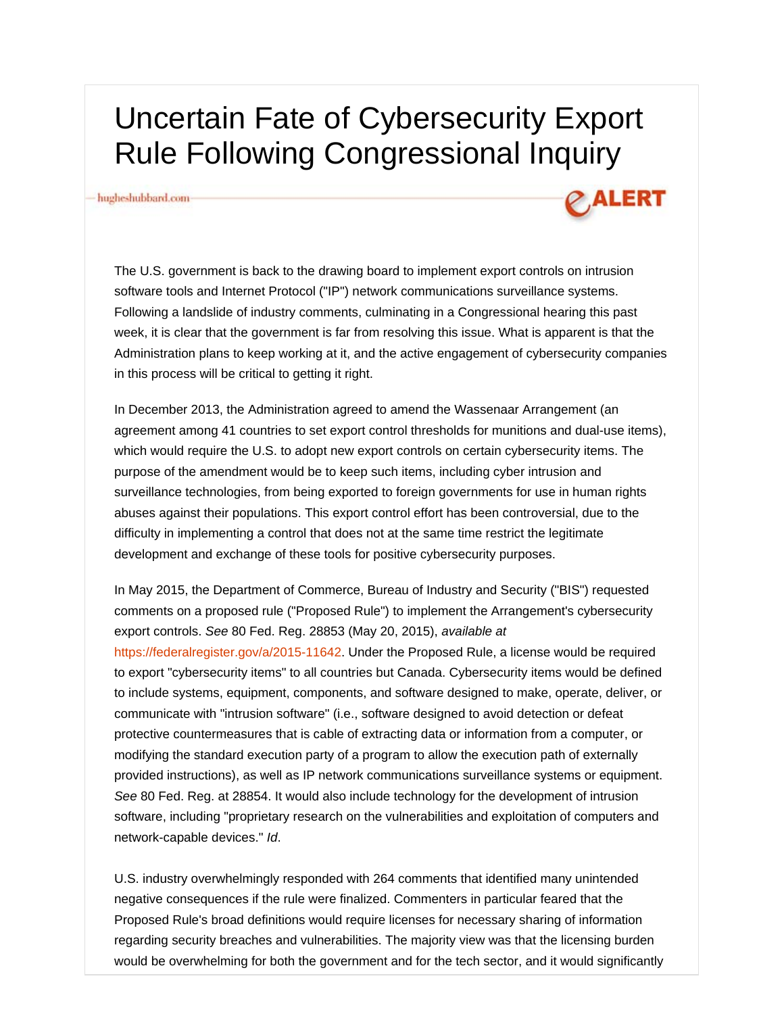# Uncertain Fate of Cybersecurity Export Rule Following Congressional Inquiry

#### hugheshubbard.com-



The U.S. government is back to the drawing board to implement export controls on intrusion software tools and Internet Protocol ("IP") network communications surveillance systems. Following a landslide of industry comments, culminating in a Congressional hearing this past week, it is clear that the government is far from resolving this issue. What is apparent is that the Administration plans to keep working at it, and the active engagement of cybersecurity companies in this process will be critical to getting it right.

In December 2013, the Administration agreed to amend the Wassenaar Arrangement (an agreement among 41 countries to set export control thresholds for munitions and dual-use items), which would require the U.S. to adopt new export controls on certain cybersecurity items. The purpose of the amendment would be to keep such items, including cyber intrusion and surveillance technologies, from being exported to foreign governments for use in human rights abuses against their populations. This export control effort has been controversial, due to the difficulty in implementing a control that does not at the same time restrict the legitimate development and exchange of these tools for positive cybersecurity purposes.

In May 2015, the Department of Commerce, Bureau of Industry and Security ("BIS") requested comments on a proposed rule ("Proposed Rule") to implement the Arrangement's cybersecurity export controls. *See* 80 Fed. Reg. 28853 (May 20, 2015), *available at* https://federalregister.gov/a/2015-11642. Under the Proposed Rule, a license would be required to export "cybersecurity items" to all countries but Canada. Cybersecurity items would be defined to include systems, equipment, components, and software designed to make, operate, deliver, or communicate with "intrusion software" (i.e., software designed to avoid detection or defeat protective countermeasures that is cable of extracting data or information from a computer, or modifying the standard execution party of a program to allow the execution path of externally provided instructions), as well as IP network communications surveillance systems or equipment. *See* 80 Fed. Reg. at 28854. It would also include technology for the development of intrusion software, including "proprietary research on the vulnerabilities and exploitation of computers and network-capable devices." *Id*.

U.S. industry overwhelmingly responded with 264 comments that identified many unintended negative consequences if the rule were finalized. Commenters in particular feared that the Proposed Rule's broad definitions would require licenses for necessary sharing of information regarding security breaches and vulnerabilities. The majority view was that the licensing burden would be overwhelming for both the government and for the tech sector, and it would significantly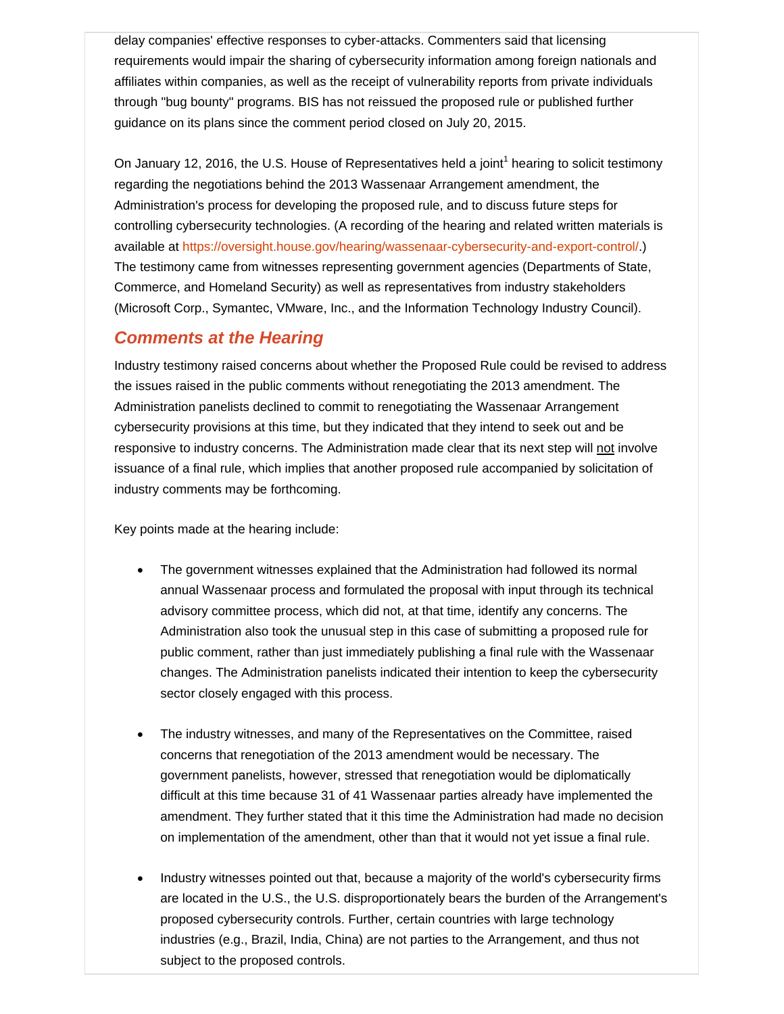delay companies' effective responses to cyber-attacks. Commenters said that licensing requirements would impair the sharing of cybersecurity information among foreign nationals and affiliates within companies, as well as the receipt of vulnerability reports from private individuals through "bug bounty" programs. BIS has not reissued the proposed rule or published further guidance on its plans since the comment period closed on July 20, 2015.

On January 12, 2016, the U.S. House of Representatives held a joint<sup>1</sup> hearing to solicit testimony regarding the negotiations behind the 2013 Wassenaar Arrangement amendment, the Administration's process for developing the proposed rule, and to discuss future steps for controlling cybersecurity technologies. (A recording of the hearing and related written materials is available at https://oversight.house.gov/hearing/wassenaar-cybersecurity-and-export-control/.) The testimony came from witnesses representing government agencies (Departments of State, Commerce, and Homeland Security) as well as representatives from industry stakeholders (Microsoft Corp., Symantec, VMware, Inc., and the Information Technology Industry Council).

#### *Comments at the Hearing*

Industry testimony raised concerns about whether the Proposed Rule could be revised to address the issues raised in the public comments without renegotiating the 2013 amendment. The Administration panelists declined to commit to renegotiating the Wassenaar Arrangement cybersecurity provisions at this time, but they indicated that they intend to seek out and be responsive to industry concerns. The Administration made clear that its next step will not involve issuance of a final rule, which implies that another proposed rule accompanied by solicitation of industry comments may be forthcoming.

Key points made at the hearing include:

- The government witnesses explained that the Administration had followed its normal annual Wassenaar process and formulated the proposal with input through its technical advisory committee process, which did not, at that time, identify any concerns. The Administration also took the unusual step in this case of submitting a proposed rule for public comment, rather than just immediately publishing a final rule with the Wassenaar changes. The Administration panelists indicated their intention to keep the cybersecurity sector closely engaged with this process.
- The industry witnesses, and many of the Representatives on the Committee, raised concerns that renegotiation of the 2013 amendment would be necessary. The government panelists, however, stressed that renegotiation would be diplomatically difficult at this time because 31 of 41 Wassenaar parties already have implemented the amendment. They further stated that it this time the Administration had made no decision on implementation of the amendment, other than that it would not yet issue a final rule.
- Industry witnesses pointed out that, because a majority of the world's cybersecurity firms are located in the U.S., the U.S. disproportionately bears the burden of the Arrangement's proposed cybersecurity controls. Further, certain countries with large technology industries (e.g., Brazil, India, China) are not parties to the Arrangement, and thus not subject to the proposed controls.